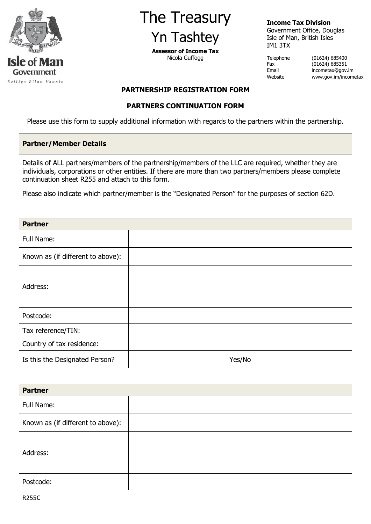

# The Treasury Yn Tashtey

**Assessor of Income Tax** Nicola Guffogg

## **Income Tax Division**

Government Office, Douglas Isle of Man, British Isles IM1 3TX

Telephone (01624) 685400 Fax (01624) 685351<br>Email incometax@gov. incometax@gov.im Website www.gov.im/incometax

## **PARTNERSHIP REGISTRATION FORM**

#### **PARTNERS CONTINUATION FORM**

Please use this form to supply additional information with regards to the partners within the partnership.

#### **Partner/Member Details**

Details of ALL partners/members of the partnership/members of the LLC are required, whether they are individuals, corporations or other entities. If there are more than two partners/members please complete continuation sheet R255 and attach to this form.

Please also indicate which partner/member is the "Designated Person" for the purposes of section 62D.

| <b>Partner</b>                    |        |
|-----------------------------------|--------|
| Full Name:                        |        |
| Known as (if different to above): |        |
| Address:                          |        |
| Postcode:                         |        |
| Tax reference/TIN:                |        |
| Country of tax residence:         |        |
| Is this the Designated Person?    | Yes/No |

| <b>Partner</b>                    |  |
|-----------------------------------|--|
| Full Name:                        |  |
| Known as (if different to above): |  |
| Address:                          |  |
| Postcode:                         |  |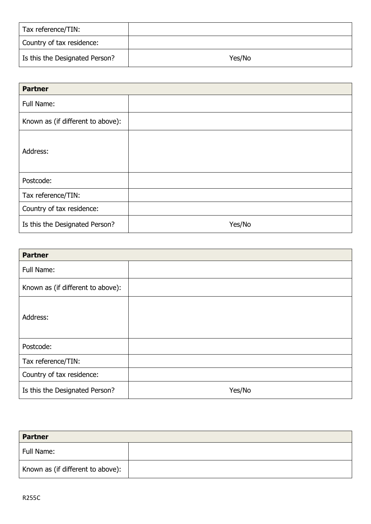| Tax reference/TIN:             |        |
|--------------------------------|--------|
| Country of tax residence:      |        |
| Is this the Designated Person? | Yes/No |

| <b>Partner</b>                    |        |
|-----------------------------------|--------|
| Full Name:                        |        |
| Known as (if different to above): |        |
| Address:                          |        |
| Postcode:                         |        |
| Tax reference/TIN:                |        |
| Country of tax residence:         |        |
| Is this the Designated Person?    | Yes/No |

| <b>Partner</b>                    |        |
|-----------------------------------|--------|
| Full Name:                        |        |
| Known as (if different to above): |        |
| Address:                          |        |
| Postcode:                         |        |
| Tax reference/TIN:                |        |
| Country of tax residence:         |        |
| Is this the Designated Person?    | Yes/No |

| <b>Partner</b>                    |  |
|-----------------------------------|--|
| Full Name:                        |  |
| Known as (if different to above): |  |